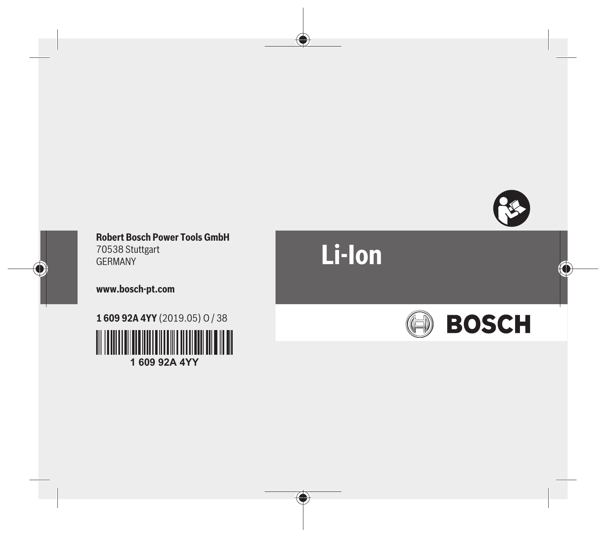

#### **Robert Bosch Power Tools GmbH** 70538 Stuttgart GERMANY

#### **www.bosch-pt.com**

**1 609 92A 4YY** (2019.05) O / 38 ║║

**1 609 92A 4YY**

# **Li-Ion**

♦

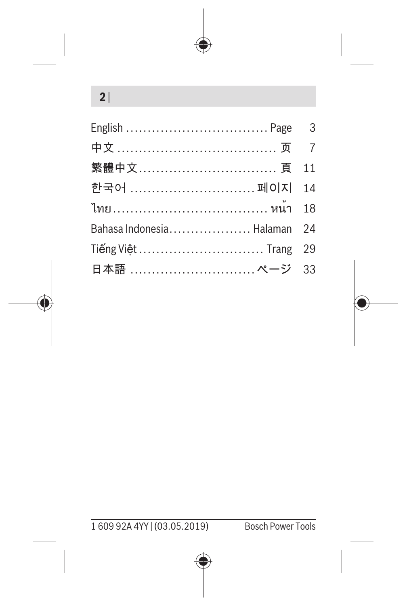## **2** |

| 繁體中文 頁 11                   |  |
|-----------------------------|--|
| 한국어 페이지 14                  |  |
| ไทย………………………………… หน้า 18    |  |
| Bahasa Indonesia Halaman 24 |  |
| Tiếng Việt  Trang 29        |  |
| 日本語  ページ 33                 |  |



1 609 92A 4YY | (03.05.2019) Bosch Power Tools

Ô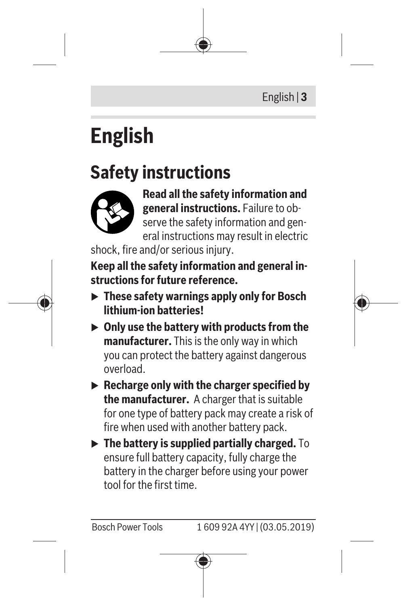# <span id="page-2-0"></span>**English**

## **Safety instructions**



**Read all the safety information and general instructions.** Failure to observe the safety information and general instructions may result in electric

shock, fire and/or serious injury.

**Keep all the safety information and general instructions for future reference.**

- ▶ These safety warnings apply only for Bosch **lithium-ion batteries!**
- ▶ Only use the battery with products from the **manufacturer.** This is the only way in which you can protect the battery against dangerous overload.
- ▶ Recharge only with the charger specified by **the manufacturer.** A charger that is suitable for one type of battery pack may create a risk of fire when used with another battery pack.
- **Fig. 2** The battery is supplied partially charged. To ensure full battery capacity, fully charge the battery in the charger before using your power tool for the first time.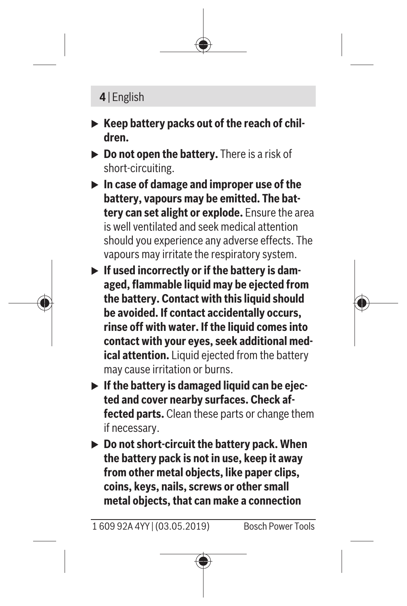#### **4** | English

- ▶ Keep battery packs out of the reach of chil**dren.**
- ▶ **Do not open the battery.** There is a risk of short-circuiting.
- ▶ In case of damage and improper use of the **battery, vapours may be emitted. The battery can set alight or explode.** Ensure the area is well ventilated and seek medical attention should you experience any adverse effects. The vapours may irritate the respiratory system.
- **If used incorrectly or if the battery is damaged, flammable liquid may be ejected from the battery. Contact with this liquid should be avoided. If contact accidentally occurs, rinse off with water. If the liquid comes into contact with your eyes, seek additional medical attention.** Liquid ejected from the battery may cause irritation or burns.
- **If the battery is damaged liquid can be ejected and cover nearby surfaces. Check affected parts.** Clean these parts or change them if necessary.
- ▶ Do not short-circuit the battery pack. When **the battery pack is not in use, keep it away from other metal objects, like paper clips, coins, keys, nails, screws or other small metal objects, that can make a connection**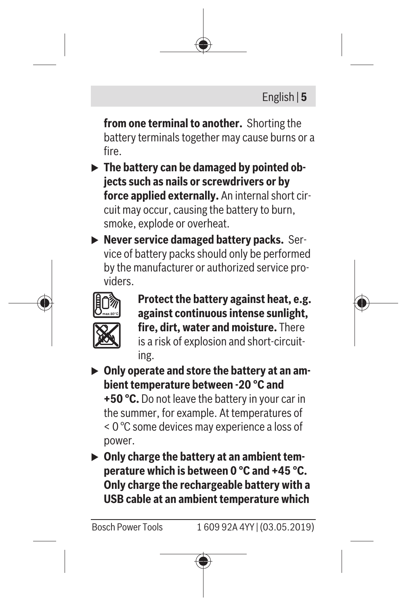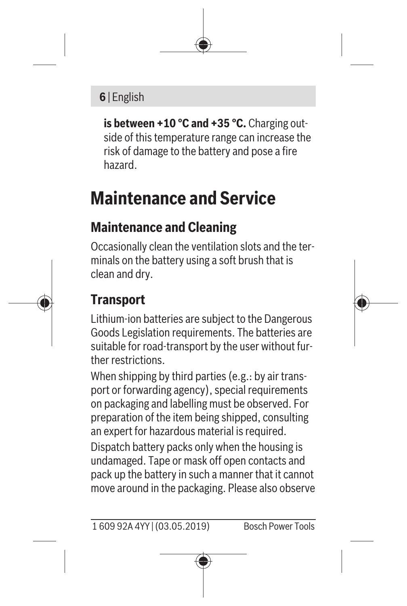### **6** | English

**is between +10 °C and +35 °C.** Charging outside of this temperature range can increase the risk of damage to the battery and pose a fire hazard.

## **Maintenance and Service**

## **Maintenance and Cleaning**

Occasionally clean the ventilation slots and the terminals on the battery using a soft brush that is clean and dry.

## **Transport**

Lithium-ion batteries are subject to the Dangerous Goods Legislation requirements. The batteries are suitable for road-transport by the user without further restrictions.

When shipping by third parties (e.g.: by air transport or forwarding agency), special requirements on packaging and labelling must be observed. For preparation of the item being shipped, consulting an expert for hazardous material is required.

Dispatch battery packs only when the housing is undamaged. Tape or mask off open contacts and pack up the battery in such a manner that it cannot move around in the packaging. Please also observe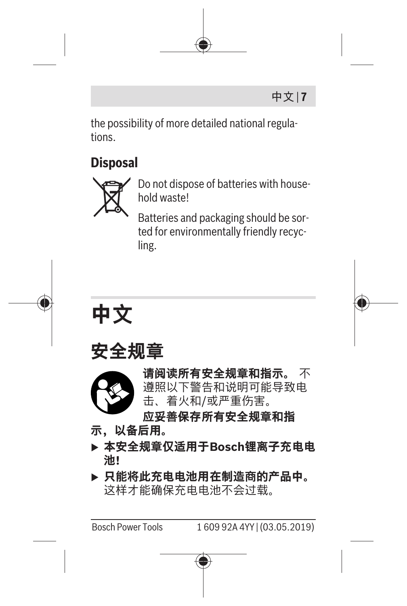

the possibility of more detailed national regulations.

### **Disposal**



Do not dispose of batteries with household waste!

Batteries and packaging should be sorted for environmentally friendly recycling.

<span id="page-6-0"></span>





**请阅读所有安全规章和指示。** 不 遵照以下警告和说明可能导致电 击、着火和/或严重伤害。

**应妥善保存所有安全规章和指**

- **示,以备后用。**
- **▶ 本安全规章仅适用于Bosch锂离子充电电 池!**
- ▶ 只能将此充电电池用在制造商的产品中。 这样才能确保充电电池不会过载。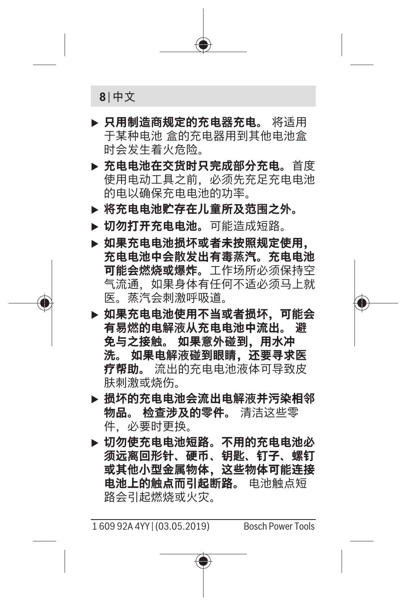

- ▶ 只用制造商规定的充电器充电。 将适用 于某种电池 盒的充电器用到其他电池盒 时会发生着火危险。
- **▶ 充电电池在交货时只完成部分充电。**首度 使用电动工具之前,必须先充足充电电池 的电以确保充电电池的功率。
- **▶ 将充电电池贮存在儿童所及范围之外。**
- ▶ 切勿打开充电电池。可能造成短路。
- ▶ 如果充电电池损坏或者未按照规定使用, **充电电池中会散发出有毒蒸汽。充电电池 可能会燃烧或爆炸。**工作场所必须保持空 气流通,如果身体有任何不适必须马上就 医。蒸汽会刺激呼吸道。
- ▶ 如果充电电池使用不当或者损坏, 可能会 有易燃的电解液从充电电池中流出。 避<br>免与之接触。 如果意外碰到、用水冲 **免与之接触。 如果意外碰到,用水冲 洗。 如果电解液碰到眼睛,还要寻求医 疗帮助。** 流出的充电电池液体可导致皮 肤刺激或烧伤。
- ▶ 损坏的充电电池会流出电解液并污染相邻 **物品。 检查涉及的零件。** 清洁这些零 件,必要时更换。
- ▶ 切勿使充电电池短路。不用的充电电**池**必 **须远离回形针、硬币、钥匙、钉子、螺钉 或其他小型金属物体,这些物体可能连接 电池上的触点而引起断路。** 电池触点短 路会引起燃烧或火灾。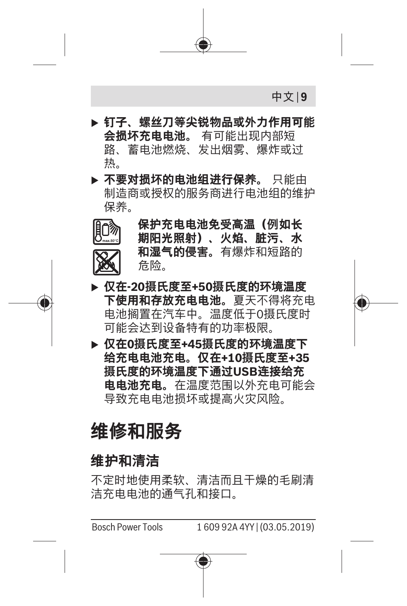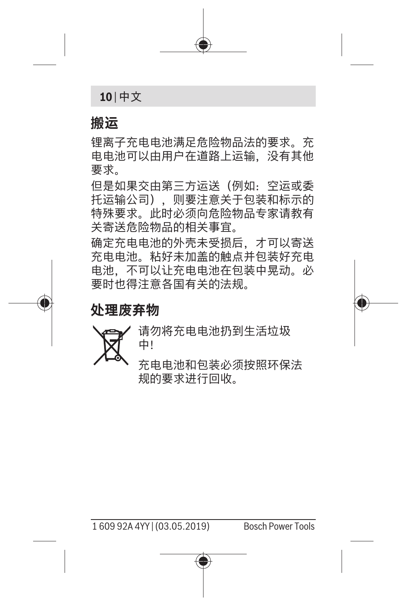**10** | 中文

#### **搬运**

锂离子充电电池满足危险物品法的要求。充 电电池可以由用户在道路上运输,没有其他 要求。

但是如果交由第三方运送(例如:空运或委 托运输公司),则要注意关于包装和标示的 特殊要求。此时必须向危险物品专家请教有 关寄送危险物品的相关事宜。

确定充电电池的外壳未受损后,才可以寄送 充电电池。粘好未加盖的触点并包装好充电 电池,不可以让充电电池在包装中晃动。必 要时也得注意各国有关的法规。

**处理废弃物**



请勿将充电电池扔到生活垃圾 中!

充电电池和包装必须按照环保法 规的要求进行回收。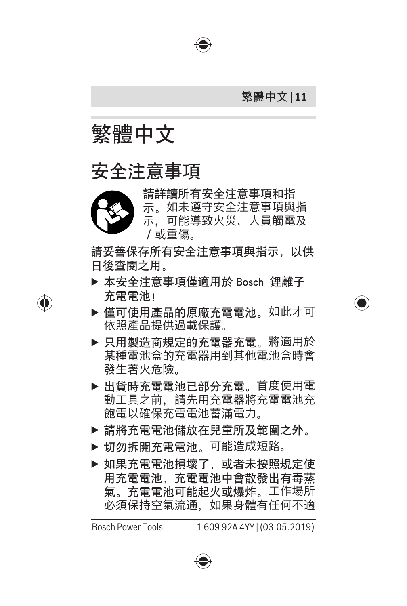

<span id="page-10-0"></span>繁體中文

## 安全注意事項



請詳讀所有安全注意事項和指 示。如未遵守安全注意事項與指 示 可能道致火災 人員觸雷及 /或重傷。

請妥善保存所有安全注意事項與指示, 以供 日後杳悶之用。

- ▶ 本安全注意事項僅適用於 Bosch 鋰離子 充電電池!
- ▶ 僅可使用產品的原廠充電電池。如此才可 依照產品提供過載保護。
- ▶ 只用製造商規定的充電器充電。將適用於 某種電池盒的充電器用到其他電池盒時會 發生著火危險。
- ▶ 出貨時充電電池已部分充電。首度使用電 動工具之前,請先用充電器將充電電池充 飽電以確保充電電池蓄滿電力。
- ▶ 請將充電電池儲放在兒童所及範圍之外。
- ▶ 切勿拆開充電電池,可能造成短路。
- ▶ 如果充電電池損壞了, 或者未按照規定使 用充電電池,充電電池中會散發出有毒蒸 氣。充電電池可能起火或爆炸。工作場所 必須保持空氣流通,如果身體有任何不適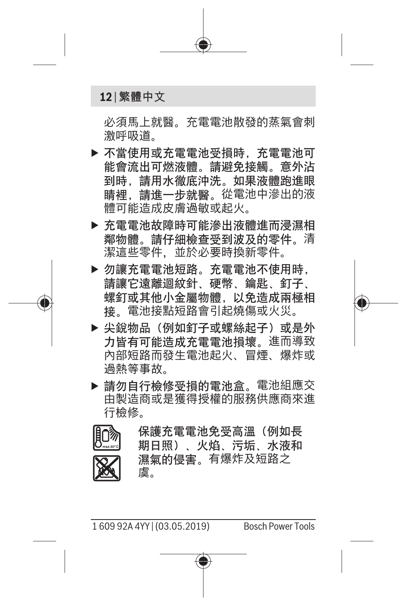#### **12** | 繁體中文

必須馬上就醫。充電電池散發的蒸氣會刺 激呼吸道。

- ▶ 不當使用或充電電池受損時, 充電電池可 能會流出可燃液體。請避免接觸。意外沾 到時,請用水徹底沖洗。如果液體跑進眼 睛裡,請進一步就醫。從電池中滲出的液 體可能造成皮膚過敏或起火。
- ▶ 充雷雷池故障時可能滲出液體進而浸濕相 鄰物體。請仔細檢查受到波及的零件。清 潔這些零件,並於必要時換新零件。
- ▶ 勿讓充電電池短路。充電電池不使用時, 請讓它遠離迴紋針、硬幣、鑰匙、釘子、 螺釘或其他小金屬物體,以免造成兩極相 接。電池接點短路會引起燒傷或火災。
- ▶ 尖銳物品(例如釘子或螺絲起子)或是外 力皆有可能造成充電電池損壞。進而導致 內部短路而發生電池起火、冒煙、爆炸或 過熱等事故。
- ▶ 請勿自行檢修受損的電池盒。電池組應交 由製造商或是獲得授權的服務供應商來進 行檢修。

保護充電電池免受高溫(例如長 期日照)、火焰、污垢、水液和 濕氣的侵害。有爆炸及短路之 虞。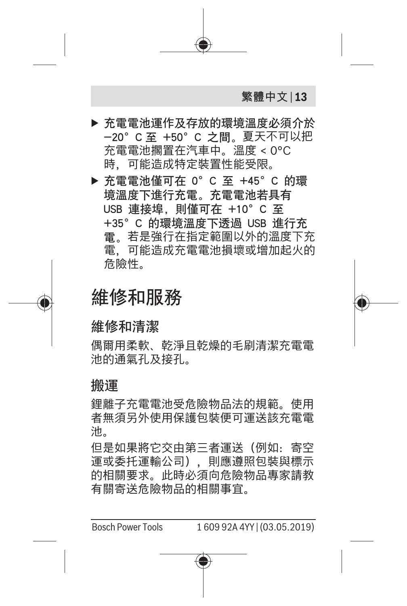

池。

但是如果將它交由第三者運送(例如:寄空 運或委托運輸公司),則應遵照包裝與標示 的相關要求。此時必須向危險物品專家請教 有關寄送危險物品的相關事宜。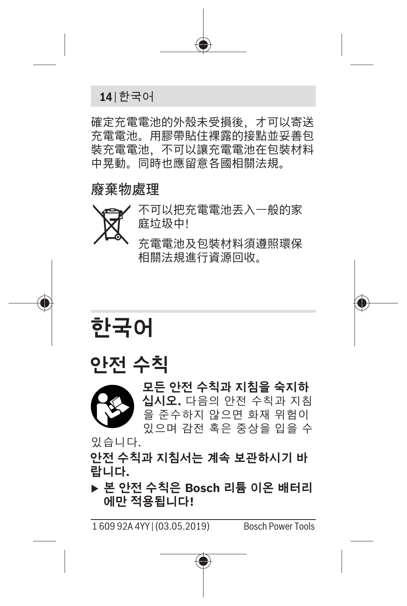**14** | 한국어

確定充電電池的外殼未受損後,才可以寄送 充電電池。用膠帶貼住裸露的接點並妥善包 裝充電電池,不可以讓充電電池在包裝材料 中晃動。同時也應留意各國相關法規。

#### 廢棄物處理



不可以把充電電池丟入一般的家 庭垃圾中!

充電電池及包裝材料須遵照環保 相關法規進行資源回收。

<span id="page-13-0"></span>**한국어**





**모든 안전 수칙과 지침을 숙지하 십시오.** 다음의 안전 수칙과 지침 을 준수하지 않으면 화재 위험이 있으며 감전 혹은 중상을 입을 수

있습니다.

**안전 수칙과 지침서는 계속 보관하시기 바 랍니다.**

u **본 안전 수칙은 Bosch 리튬 이온 배터리 에만 적용됩니다!**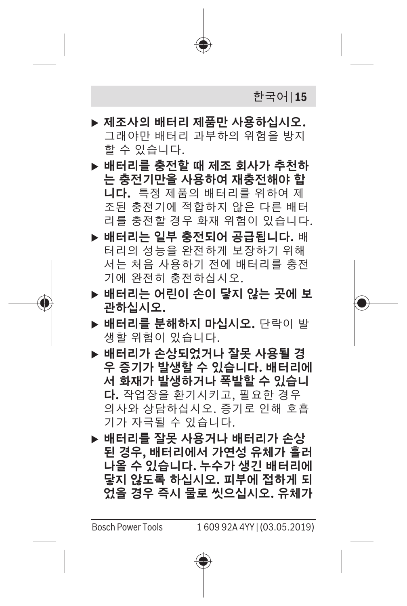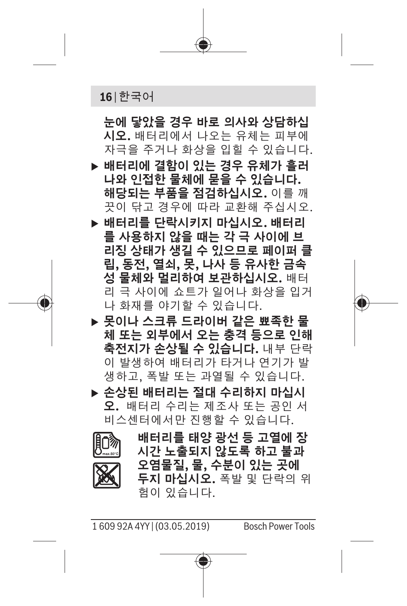

**눈에 닿았을 경우 바로 의사와 상담하십 시오.** 배터리에서 나오는 유체는 피부에 자극을 주거나 화상을 입힐 수 있습니다.

- ▶ 배터리에 결함이 있는 경우 유체가 흘러 **나와 인접한 물체에 묻을 수 있습니다. 해당되는 부품을 점검하십시오.** 이를 깨 끗이 닦고 경우에 따라 교환해 주십시오.
- ▶ 배터리를 단락시키지 마십시오. 배터리 **를 사용하지 않을 때는 각 극 사이에 브 리징 상태가 생길 수 있으므로 페이퍼 클 립, 동전, 열쇠, 못, 나사 등 유사한 금속 성 물체와 멀리하여 보관하십시오.** 배터 리 극 사이에 쇼트가 일어나 화상을 입거 나 화재를 야기할 수 있습니다.
- ▶ 못이나 스크류 드라이버 같은 뾰족한 물 **체 또는 외부에서 오는 충격 등으로 인해 축전지가 손상될 수 있습니다.** 내부 단락 이 발생하여 배터리가 타거나 연기가 발 생하고, 폭발 또는 과열될 수 있습니다.

▶ 손상된 배터리는 절대 수리하지 마십시 **오.** 배터리 수리는 제조사 또는 공인 서 비스센터에서만 진행할 수 있습니다.



**배터리를 태양 광선 등 고열에 장 시간 노출되지 않도록 하고 불과 오염물질, 물, 수분이 있는 곳에 두지 마십시오.** 폭발 및 단락의 위 험이 있습니다.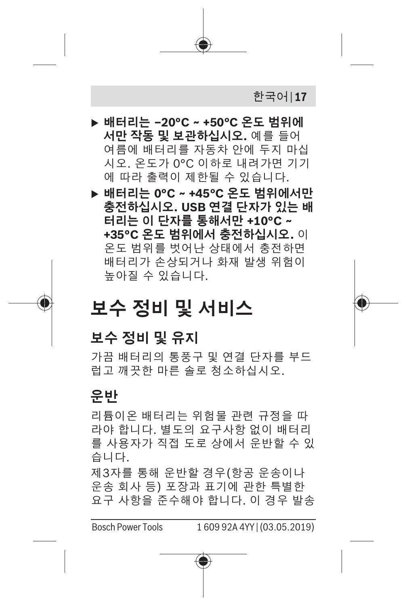

#### **운반**

리튬이온 배터리는 위험물 관련 규정을 따 라야 합니다. 별도의 요구사항 없이 배터리 를 사용자가 직접 도로 상에서 운반할 수 있 습니다.

제3자를 통해 운반할 경우(항공 운송이나 운송 회사 등) 포장과 표기에 관한 특별한 요구 사항을 준수해야 합니다. 이 경우 발송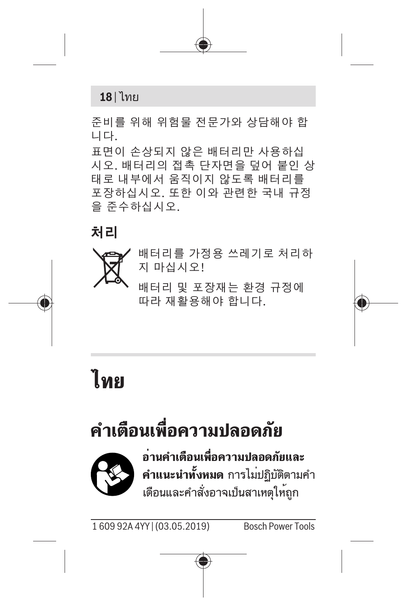

준비를 위해 위험물 전문가와 상담해야 합 니다.

표면이 손상되지 않은 배터리만 사용하십 시오. 배터리의 접촉 단자면을 덮어 붙인 상 태로 내부에서 움직이지 않도록 배터리를 포장하십시오. 또한 이와 관련한 국내 규정 을 준수하십시오.

#### **처리**



배터리를 가정용 쓰레기로 처리하 지 마십시오!

배터리 및 포장재는 환경 규정에 따라 재활용해야 합니다.

<span id="page-17-0"></span>**ไทย**

## **คำเตือนเพื่อความปลอดภัย**



**อ่านคำเตือนเพื่อความปลอดภัยและ คำแนะนำทั้งหมด** การไม่ปฏิบัติตามคำ เตือนและคำสั่งอาจเป็นสาเหตุให้ถูก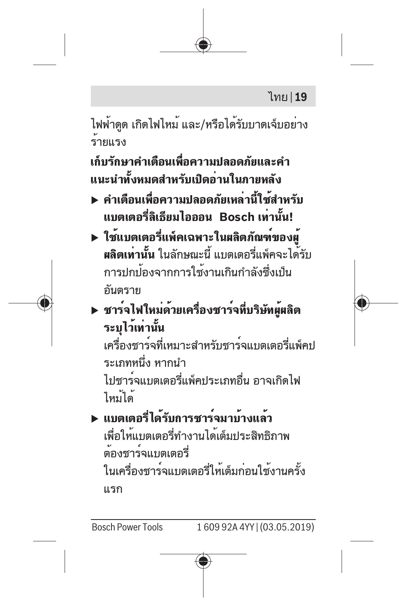ไฟฟ้าดูด เกิดไฟไหม้ และ/หรือได้รับบาดเจ็บอย่าง ร้ายแรง

**เก็บรักษาคำเตือนเพื่อความปลอดภัยและคำ แนะนำทั้งหมดสำหรับเปิดอ่านในภายหลัง**

- u **คำเตือนเพื่อความปลอดภัยเหล่านี้ใช้สำหรับ แบตเตอรี่ลิเธียมไอออน Bosch เท่านั้น!**
- u **ใช้แบตเตอรี่แพ็คเฉพาะในผลิตภัณฑ์ของผู้ ผลิตเท่านั้น** ในลักษณะนี้ แบตเตอรี่แพ็คจะได้รับ การปกป้องจากการใช้งานเกินกำลังซึ่งเป็น อันตราย
- u **ชาร์จไฟใหม่ด้วยเครื่องชาร์จที่บริษัทผู้ผลิต ระบุไว้เท่านั้น**

เครื่องชาร์จที่เหมาะสำหรับชาร์จแบตเตอรี่แพ็คป ระเภทหนึ่ง หากนำ ไปชาร์จแบตเตอรี่แพ็คประเภทอื่น อาจเกิดไฟ ไหม้ได้

u **แบตเตอรี่ได้รับการชาร์จมาบ้างแล้ว** เพื่อให้แบตเตอรี่ทำงานได้เต็มประสิทธิภาพ ต้องชาร์จแบตเตอรี่ ในเครื่องชาร์จแบตเตอรี่ให้เต็มก่อนใช้งานครั้ง แรก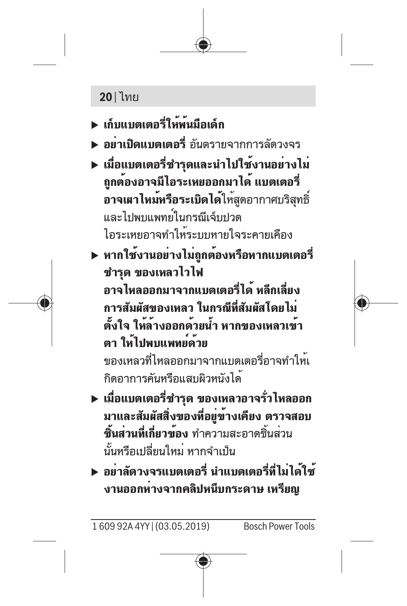### **20** | ไทย

- u **เก็บแบตเตอรี่ให้พ้นมือเด็ก**
- **► อย่าเปิดแบตเตอรี่** อับตรายจากการลัดวงจร
- u **เมื่อแบตเตอรี่ชำรุดและนำไปใช้งานอย่างไม่ ถูกต้องอาจมีไอระเหยออกมาได้ แบตเตอรี่ อาจเผาไหม้หรือระเบิดได้**ให้สูดอากาศบริสุทธิ์ และไปพบแพทย์ในกรณีเจ็บปวด ไอระเหยอาจทำให้ระบบหายใจระคายเคือง
- u **หากใช้งานอย่างไม่ถูกต้องหรือหากแบตเตอรี่ ชำรุด ของเหลวไวไฟ อาจไหลออกมาจากแบตเตอรี่ได้ หลีกเลี่ยง การสัมผัสของเหลว ในกรณีที่สัมผัสโดยไม่ ตั้งใจ ให้ล้างออกด้วยน้ำ หากของเหลวเข้า ตา ให้ไปพบแพทย์ด้วย** ของเหลวที่ไหลออกมาจากแบตเตอรี่อาจทำให้เ กิดอาการคันหรือแสบผิวหนังได้
- u **เมื่อแบตเตอรี่ชำรุด ของเหลวอาจรั่วไหลออก มาและสัมผัสสิ่งของที่อยู่ข้างเคียง ตรวจสอบ ชิ้นส่วนที่เกี่ยวข้อง** ทำความสะอาดชิ้นส่วน นั้นหรือเปลี่ยนใหม่ หากจำเป็น
- u **อย่าลัดวงจรแบตเตอรี่ นำแบตเตอรี่ที่ไม่ได้ใช้ งานออกห่างจากคลิปหนีบกระดาษ เหรียญ**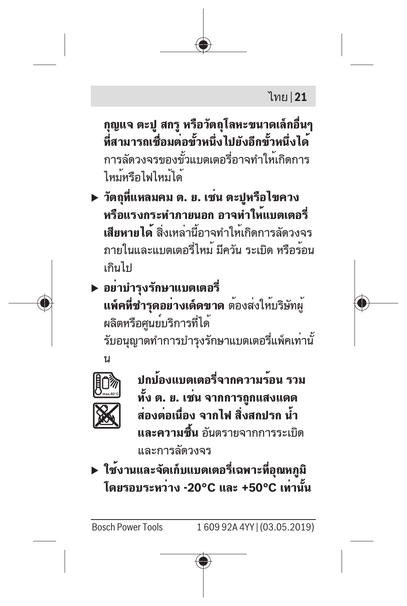### ไทย | **21**

**กุญแจ ตะปู สกรู หรือวัตถุโลหะขนาดเล็กอื่นๆ ที่สามารถเชื่อมต่อขั้วหนึ่งไปยังอีกขั้วหนึ่งได้** การลัดวงจรของขั้วแบตเตอรี่อาจทำให้เกิดการ ไหม้หรือไฟไหม้ได้

u **วัตถุที่แหลมคม ต. ย. เช่น ตะปูหรือไขควง หรือแรงกระทำภายนอก อาจทำให้แบตเตอรี่ เสียหายได้** สิ่งเหล่านี้อาจทำให้เกิดการลัดวงจร ภายในและแบตเตอรี่ไหม้ มีควัน ระเบิด หรือร้อน เกินไป

u **อย่าบำรุงรักษาแบตเตอรี่ แพ็คที่ชำรุดอย่างเด็ดขาด** ต้องส่งให้บริษัทผู้ ผลิตหรือศูนย์บริการที่ได้ รับอนุญาตทำการบำรุงรักษาแบตเตอรี่แพ็คเท่านั้





**ปกป้องแบตเตอรี่จากความร้อน รวม ทั้ง ต. ย. เช่น จากการถูกแสงแดด ส่องต่อเนื่อง จากไฟ สิ่งสกปรก น้ำ และความชื้น** อันตรายจากการระเบิด และการลัดวงจร

u **ใช้งานและจัดเก็บแบตเตอรี่เฉพาะที่อุณหภูมิ โดยรอบระหว่าง -20°C และ +50°C เท่านั้น**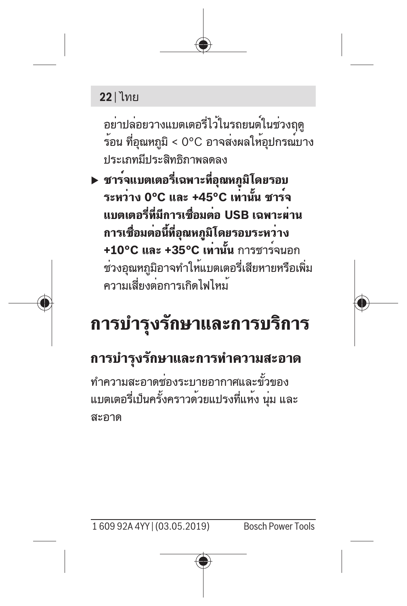### **22** | ไทย

อย่าปล่อยวางแบตเตอรี่ไว้ในรถยนต์ในช่วงฤดู ร้อน ที่อุณหภูมิ < 0°C อาจส่งผลให้อุปกรณ์บาง ประเภทมีประสิทธิภาพลดลง

u **ชาร์จแบตเตอรี่เฉพาะที่อุณหภูมิโดยรอบ ระหว่าง 0°C และ +45°C เท่านั้น ชาร์จ แบตเตอรี่ที่มีการเชื่อมต่อ USB เฉพาะผ่าน การเชื่อมต่อนี้ที่อุณหภูมิโดยรอบระหว่าง +10°C และ +35°C เท่านั้น** การชาร์จนอก ช่วงอุณหภูมิอาจทำให้แบตเตอรี่เสียหายหรือเพิ่ม ความเสี่ยงต่อการเกิดไฟไหม้

## **การบำรุงรักษาและการบริการ**

## **การบำรุงรักษาและการทำความสะอาด**

ทำความสะอาดช่องระบายอากาศและขั้วของ แบตเตอรี่เป็นครั้งคราวด้วยแปรงที่แห้ง นุ่ม และ สะอาด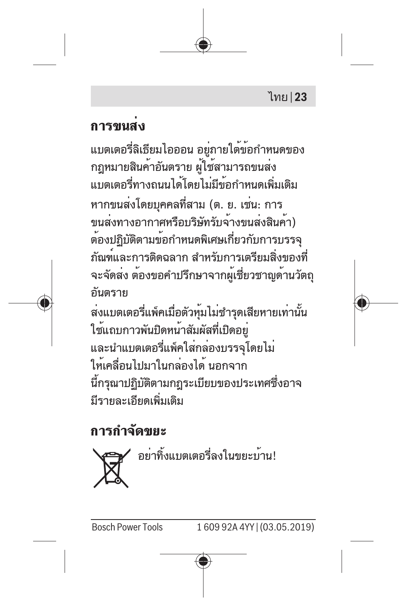### **การขนส่ง**

แบตเตอรี่ลิเธียมไอออน อยู่ภายใต้ข้อกำหนดของ กฎหมายสินค้าอันตราย ผู้ใช้สามารถขนส่ง แบตเตอรี่ทางถนนได้โดยไม่มีข้อกำหนดเพิ่มเติม หากขนส่งโดยบุคคลที่สาม (ต. ย. เช่น: การ ขนส่งทางอากาศหรือบริษัทรับจ้างขนส่งสินค้า) ต้องปฏิบัติตามข้อกำหนดพิเศษเกี่ยวกับการบรรจุ ภัณฑ์และการติดฉลาก สำหรับการเตรียมสิ่งของที่ จะจัดส่ง ต้องขอคำปรึกษาจากผู้เชี่ยวชาญด้านวัตถุ อันตราย

ส่งแบตเตอรี่แพ็คเมื่อตัวหุ้มไม่ชำรุดเสียหายเท่านั้น ใช้แถบกาวพันปิดหน้าสัมผัสที่เปิดอยู่ และนำแบตเตอรี่แพ็คใส่กล่องบรรจุโดยไม่ ให้เคลื่อนไปมาในกล่องได้ นอกจาก นี้กรุณาปฏิบัติตามกฎระเบียบของประเทศซึ่งอาจ มีรายละเอียดเพิ่มเติม

## **การกำจัดขยะ**

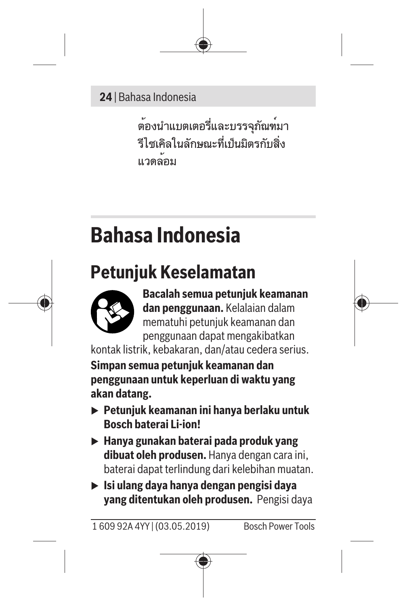#### **24** | Bahasa Indonesia

ต้องนำแบตเตอรี่และบรรจุภัณฑ์มา รีไซเคิลในลักษณะที่เป็นมิตรกับสิ่ง แวดล้อม

## <span id="page-23-0"></span>**Bahasa Indonesia**

## **Petunjuk Keselamatan**



**Bacalah semua petunjuk keamanan dan penggunaan.** Kelalaian dalam mematuhi petunjuk keamanan dan penggunaan dapat mengakibatkan

kontak listrik, kebakaran, dan/atau cedera serius.

**Simpan semua petunjuk keamanan dan penggunaan untuk keperluan di waktu yang akan datang.**

- u **Petunjuk keamanan ini hanya berlaku untuk Bosch baterai Li-ion!**
- u **Hanya gunakan baterai pada produk yang dibuat oleh produsen.** Hanya dengan cara ini, baterai dapat terlindung dari kelebihan muatan.
- u **Isi ulang daya hanya dengan pengisi daya yang ditentukan oleh produsen.** Pengisi daya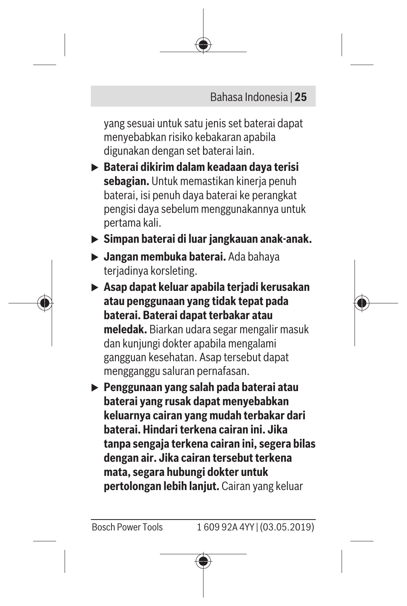

yang sesuai untuk satu jenis set baterai dapat menyebabkan risiko kebakaran apabila digunakan dengan set baterai lain.

- u **Baterai dikirim dalam keadaan daya terisi sebagian.** Untuk memastikan kinerja penuh baterai, isi penuh daya baterai ke perangkat pengisi daya sebelum menggunakannya untuk pertama kali.
- u **Simpan baterai di luar jangkauan anak-anak.**
- u **Jangan membuka baterai.** Ada bahaya terjadinya korsleting.
- u **Asap dapat keluar apabila terjadi kerusakan atau penggunaan yang tidak tepat pada baterai. Baterai dapat terbakar atau meledak.** Biarkan udara segar mengalir masuk dan kunjungi dokter apabila mengalami gangguan kesehatan. Asap tersebut dapat mengganggu saluran pernafasan.
- u **Penggunaan yang salah pada baterai atau baterai yang rusak dapat menyebabkan keluarnya cairan yang mudah terbakar dari baterai. Hindari terkena cairan ini. Jika tanpa sengaja terkena cairan ini, segera bilas dengan air. Jika cairan tersebut terkena mata, segara hubungi dokter untuk pertolongan lebih lanjut.** Cairan yang keluar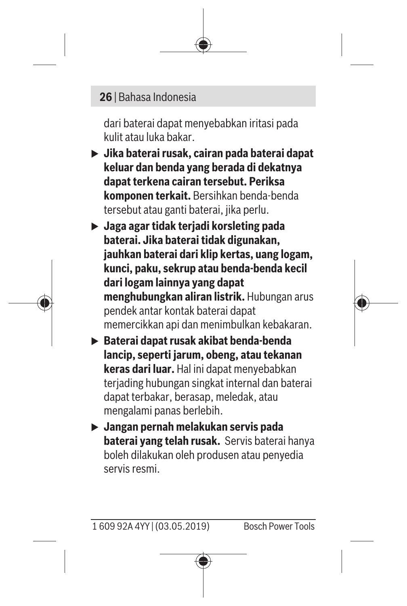#### **26** | Bahasa Indonesia

dari baterai dapat menyebabkan iritasi pada kulit atau luka bakar.

- u **Jika baterai rusak, cairan pada baterai dapat keluar dan benda yang berada di dekatnya dapat terkena cairan tersebut. Periksa komponen terkait.** Bersihkan benda-benda tersebut atau ganti baterai, jika perlu.
- u **Jaga agar tidak terjadi korsleting pada baterai. Jika baterai tidak digunakan, jauhkan baterai dari klip kertas, uang logam, kunci, paku, sekrup atau benda-benda kecil dari logam lainnya yang dapat menghubungkan aliran listrik.** Hubungan arus pendek antar kontak baterai dapat memercikkan api dan menimbulkan kebakaran.
- **► Baterai dapat rusak akibat benda-benda lancip, seperti jarum, obeng, atau tekanan keras dari luar.** Hal ini dapat menyebabkan terjading hubungan singkat internal dan baterai dapat terbakar, berasap, meledak, atau mengalami panas berlebih.
- u **Jangan pernah melakukan servis pada baterai yang telah rusak.** Servis baterai hanya boleh dilakukan oleh produsen atau penyedia servis resmi.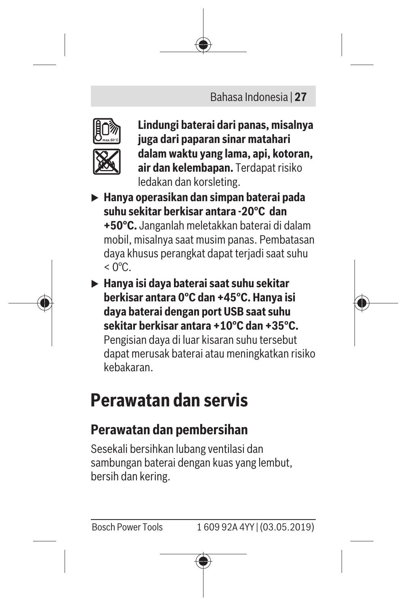#### Bahasa Indonesia | **27**



**Lindungi baterai dari panas, misalnya juga dari paparan sinar matahari dalam waktu yang lama, api, kotoran, air dan kelembapan.** Terdapat risiko ledakan dan korsleting.

- u **Hanya operasikan dan simpan baterai pada suhu sekitar berkisar antara -20°C dan +50°C.** Janganlah meletakkan baterai di dalam mobil, misalnya saat musim panas. Pembatasan daya khusus perangkat dapat terjadi saat suhu  $<$  0°C.
- u **Hanya isi daya baterai saat suhu sekitar berkisar antara 0°C dan +45°C. Hanya isi daya baterai dengan port USB saat suhu sekitar berkisar antara +10°C dan +35°C.** Pengisian daya di luar kisaran suhu tersebut dapat merusak baterai atau meningkatkan risiko kebakaran.

## **Perawatan dan servis**

### **Perawatan dan pembersihan**

Sesekali bersihkan lubang ventilasi dan sambungan baterai dengan kuas yang lembut, bersih dan kering.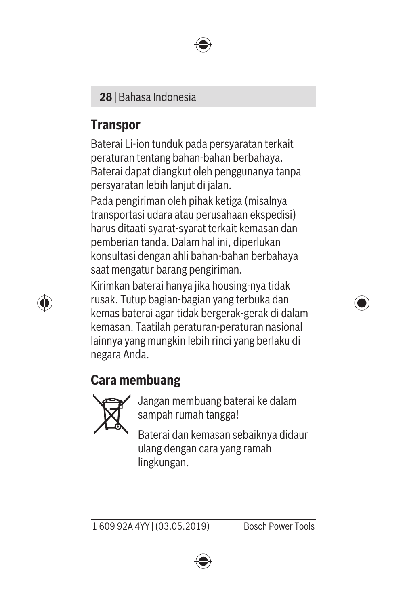#### **28** | Bahasa Indonesia

### **Transpor**

Baterai Li-ion tunduk pada persyaratan terkait peraturan tentang bahan-bahan berbahaya. Baterai dapat diangkut oleh penggunanya tanpa persyaratan lebih lanjut di jalan.

Pada pengiriman oleh pihak ketiga (misalnya transportasi udara atau perusahaan ekspedisi) harus ditaati syarat-syarat terkait kemasan dan pemberian tanda. Dalam hal ini, diperlukan konsultasi dengan ahli bahan-bahan berbahaya saat mengatur barang pengiriman.

Kirimkan baterai hanya jika housing-nya tidak rusak. Tutup bagian-bagian yang terbuka dan kemas baterai agar tidak bergerak-gerak di dalam kemasan. Taatilah peraturan-peraturan nasional lainnya yang mungkin lebih rinci yang berlaku di negara Anda.

### **Cara membuang**



Jangan membuang baterai ke dalam sampah rumah tangga!

Baterai dan kemasan sebaiknya didaur ulang dengan cara yang ramah lingkungan.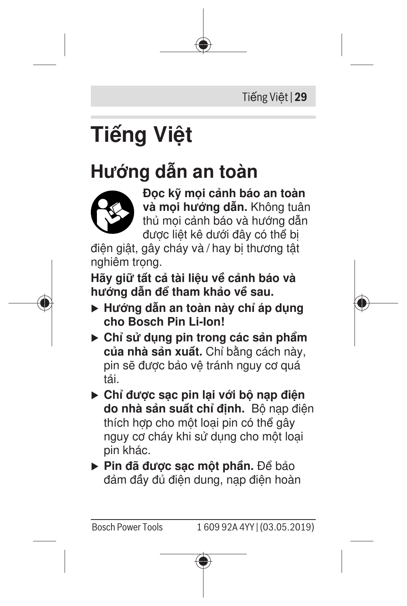Tiếng Việt | **29**

# <span id="page-28-0"></span>**Tiếng Việt**

## **Hướng dẫn an toàn**



**Đọc kỹ mọi cảnh báo an toàn và mọi hướng dẫn.** Không tuân thủ mọi cảnh báo và hướng dẫn được liệt kê dưới đây có thể bị

điện giật, gây cháy và / hay bị thương tật nghiêm trong.

**Hãy giữ tất cả tài liệu về cảnh báo và hướng dẫn để tham khảo về sau.**

- u **Hướng dẫn an toàn này chỉ áp dụng cho Bosch Pin Li-Ion!**
- u **Chỉ sử dụng pin trong các sản phẩm của nhà sản xuất.** Chỉ bằng cách này, pin sẽ được bảo vệ tránh nguy cơ quá tải.
- u **Chỉ được sạc pin lại với bộ nạp điện do nhà sản suất chỉ định.** Bộ nạp điện thích hợp cho một loại pin có thể gây nguy cơ cháy khi sử dụng cho một loại pin khác.
- u **Pin đã được sạc một phần.** Để bảo đảm đầy đủ điện dung, nạp điện hoàn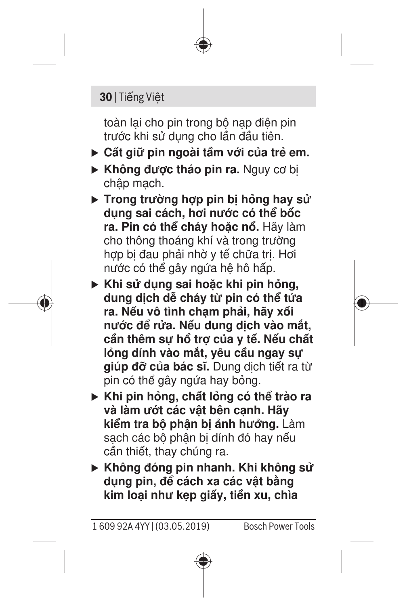#### **30** | Tiếng Việt

toàn lại cho pin trong bộ nạp điện pin trước khi sử dụng cho lần đầu tiên.

- u **Cất giữ pin ngoài tầm với của trẻ em.**
- **Không được tháo pin ra.** Nguy cơ bi chập mạch.
- ▶ Trong trường hợp pin bị hỏng hay sử **dụng sai cách, hơi nước có thể bốc ra. Pin có thể cháy hoặc nổ.** Hãy làm cho thông thoáng khí và trong trường hợp bị đau phải nhờ y tế chữa trị. Hợi nước có thể gây ngứa hệ hô hấp.
- u **Khi sử dụng sai hoặc khi pin hỏng, dung dịch dễ cháy từ pin có thể tứa ra. Nếu vô tình chạm phải, hãy xối nước để rửa. Nếu dung dịch vào mắt, cần thêm sự hổ trợ của y tế. Nếu chất lỏng dính vào mắt, yêu cầu ngay sự giúp đỡ của bác sĩ.** Dung dịch tiết ra từ pin có thể gây ngứa hay bỏng.
- u **Khi pin hỏng, chất lỏng có thể trào ra và làm ướt các vật bên cạnh. Hãy kiểm tra bộ phận bị ảnh hưởng.** Làm sạch các bộ phận bị dính đó hay nếu cần thiết, thay chúng ra.
- ► Không đóng pin nhanh. Khi không sử **dụng pin, để cách xa các vật bằng kim loại như kẹp giấy, tiền xu, chìa**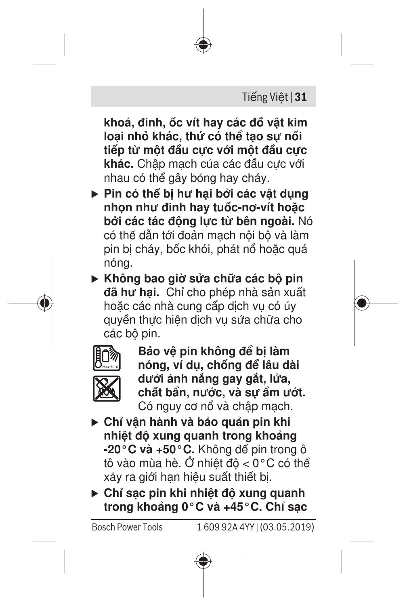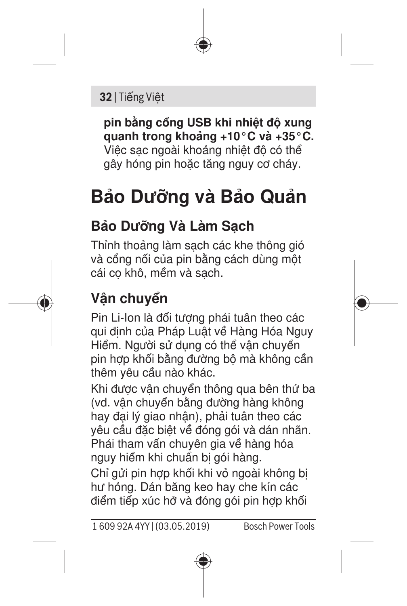#### **32** | Tiếng Việt

**pin bằng cổng USB khi nhiệt độ xung quanh trong khoảng +10°C và +35°C.** Việc sạc ngoài khoảng nhiệt độ có thể gây hỏng pin hoặc tăng nguy cơ cháy.

## **Bảo Dưỡng và Bảo Quản**

## **Bảo Dưỡng Và Làm Sạch**

Thỉnh thoảng làm sạch các khe thông gió và cổng nối của pin bằng cách dùng một cái cọ khô, mềm và sạch.

## **Vận chuyển**

Pin Li-Ion là đối tượng phải tuân theo các qui định của Pháp Luật về Hàng Hóa Nguy Hiểm. Người sử dụng có thể vận chuyển pin hợp khối bằng đường bộ mà không cần thêm yêu cầu nào khác.

Khi được vận chuyển thông qua bên thứ ba (vd. vận chuyển bằng đường hàng không hay đại lý giao nhận), phải tuân theo các yêu cầu đặc biệt về đóng gói và dán nhãn. Phải tham vấn chuyên gia về hàng hóa nguy hiểm khi chuẩn bị gói hàng.

Chỉ gửi pin hợp khối khi vỏ ngoài không bị hư hỏng. Dán băng keo hay che kín các điểm tiếp xúc hở và đóng gói pin hợp khối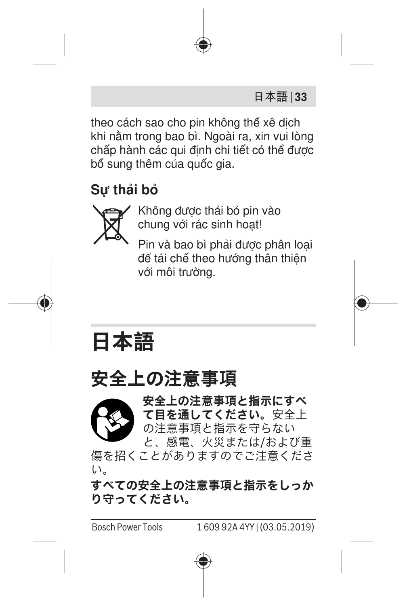

theo cách sao cho pin không thể xê dịch khi nằm trong bao bì. Ngoài ra, xin vui lòng chấp hành các qui định chi tiết có thể được bổ sung thêm của quốc gia.

## **Sự thải bỏ**



Không được thải bỏ pin vào chung với rác sinh hoạt!

Pin và bao bì phải được phân loại để tái chế theo hướng thân thiện với môi trường.

<span id="page-32-0"></span>

## **安全上の注意事項**



傷を招くことがありますのでご注意くださ い。

**すべての安全上の注意事項と指示をしっか り守ってください。**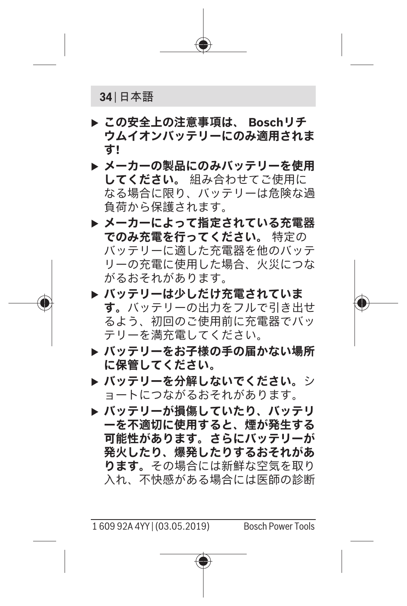

- **▶ この安全上の注意事項は、 Boschリチ ウムイオンバッテリーにのみ適用されま す!**
- **▶ メーカーの製品にのみバッテリーを使用 してください。** 組み合わせてご使用に なる場合に限り、バッテリーは危険な過 負荷から保護されます。
- **▶ メーカーによって指定されている充電器 でのみ充電を行ってください。** 特定の バッテリーに適した充電器を他のバッテ リーの充電に使用した場合、火災につな がるおそれがあります。
- **▶ バッテリーは少しだけ充電されていま す。**バッテリーの出力をフルで引き出せ るよう、初回のご使用前に充電器でバッ テリーを満充電してください。
- **▶ バッテリーをお子様の手の届かない場所 に保管してください。**
- **▶ バッテリーを分解しないでください。**シ ョートにつながるおそれがあります。
- **▶ バッテリーが損傷していたり、バッテリ ーを不適切に使用すると、煙が発生する 可能性があります。さらにバッテリーが 発火したり、爆発したりするおそれがあ ります。**その場合には新鮮な空気を取り 入れ、不快感がある場合には医師の診断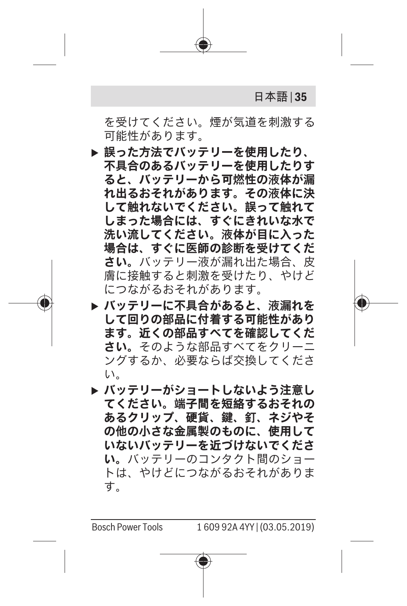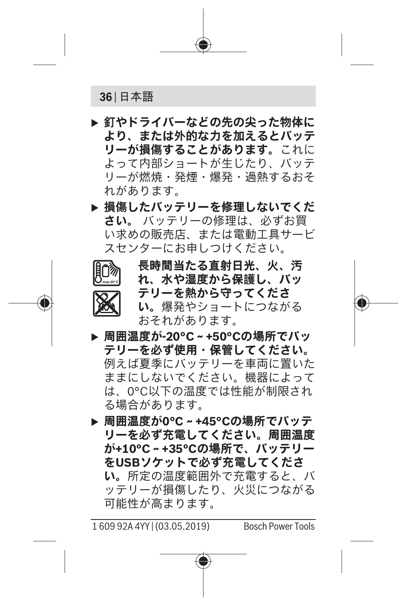#### **36** | 日本語

- **▶ 釘やドライバーなどの先の尖った物体に より、または外的な力を加えるとバッテ リーが損傷することがあります。**これに よって内部ショートが生じたり、バッテ リーが燃焼・発煙・爆発・過熱するおそ れがあります。
- **▶ 損傷したバッテリーを修理しないでくだ さい。** バッテリーの修理は、必ずお買 い求めの販売店、または電動工具サービ スセンターにお申しつけください。



**長時間当たる直射日光、火、汚 れ、水や湿度から保護し、バッ テリーを熱から守ってくださ い。**爆発やショートにつながる おそれがあります。

- **▶ 周囲温度が-20°C~+50°Cの場所でバッ テリーを必ず使用・保管してください。** 例えば夏季にバッテリーを車両に置いた ままにしないでください。機器によって は、0°C以下の温度では性能が制限され る場合があります。
- **▶ 周囲温度が0°C~+45°Cの場所でバッテ リーを必ず充電してください。周囲温度 が+10°C~+35°Cの場所で、バッテリー をUSBソケットで必ず充電してくださ い。**所定の温度範囲外で充電すると、バ ッテリーが損傷したり、火災につながる 可能性が高まります。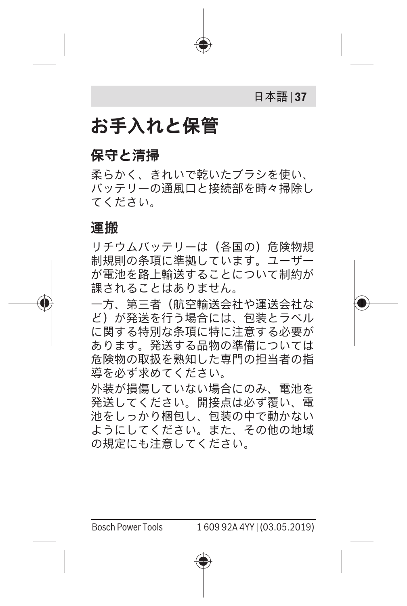

## **お手入れと保管**

#### **保守と清掃**

柔らかく、きれいで乾いたブラシを使い、 バッテリーの通風口と接続部を時々掃除し てください。

#### **運搬**

リチウムバッテリーは(各国の)危険物規 制規則の条項に準拠しています。ユーザー が電池を路上輸送することについて制約が 課されることはありません。

一方、第三者(航空輸送会社や運送会社な ど)が発送を行う場合には、包装とラベル に関する特別な条項に特に注意する必要が あります。発送する品物の準備については 危険物の取扱を熟知した専門の担当者の指 道を必ず求めてください。

外装が損傷していない場合にのみ、電池を 発送してください。開接点は必ず覆い、電 池をしっかり梱包し、包装の中で動かない ようにしてください。また、その他の地域 の規定にも注意してください。